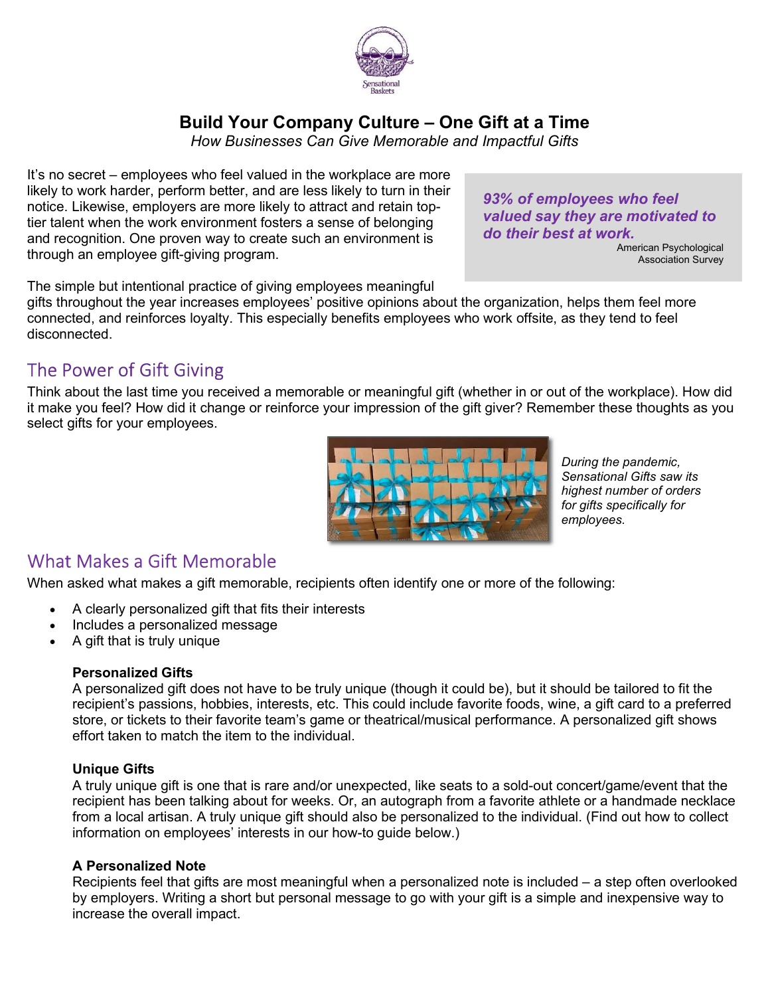

## Build Your Company Culture – One Gift at a Time

How Businesses Can Give Memorable and Impactful Gifts

It's no secret – employees who feel valued in the workplace are more likely to work harder, perform better, and are less likely to turn in their notice. Likewise, employers are more likely to attract and retain toptier talent when the work environment fosters a sense of belonging and recognition. One proven way to create such an environment is through an employee gift-giving program.

The simple but intentional practice of giving employees meaningful

gifts throughout the year increases employees' positive opinions about the organization, helps them feel more connected, and reinforces loyalty. This especially benefits employees who work offsite, as they tend to feel disconnected.

# The Power of Gift Giving

Think about the last time you received a memorable or meaningful gift (whether in or out of the workplace). How did it make you feel? How did it change or reinforce your impression of the gift giver? Remember these thoughts as you select gifts for your employees.



During the pandemic, Sensational Gifts saw its highest number of orders for gifts specifically for employees.

## What Makes a Gift Memorable

When asked what makes a gift memorable, recipients often identify one or more of the following:

- A clearly personalized gift that fits their interests
- Includes a personalized message
- A gift that is truly unique

#### Personalized Gifts

A personalized gift does not have to be truly unique (though it could be), but it should be tailored to fit the recipient's passions, hobbies, interests, etc. This could include favorite foods, wine, a gift card to a preferred store, or tickets to their favorite team's game or theatrical/musical performance. A personalized gift shows effort taken to match the item to the individual.

#### Unique Gifts

A truly unique gift is one that is rare and/or unexpected, like seats to a sold-out concert/game/event that the recipient has been talking about for weeks. Or, an autograph from a favorite athlete or a handmade necklace from a local artisan. A truly unique gift should also be personalized to the individual. (Find out how to collect information on employees' interests in our how-to guide below.)

### A Personalized Note

Recipients feel that gifts are most meaningful when a personalized note is included – a step often overlooked by employers. Writing a short but personal message to go with your gift is a simple and inexpensive way to increase the overall impact.

93% of employees who feel valued say they are motivated to do their best at work.

American Psychological Association Survey